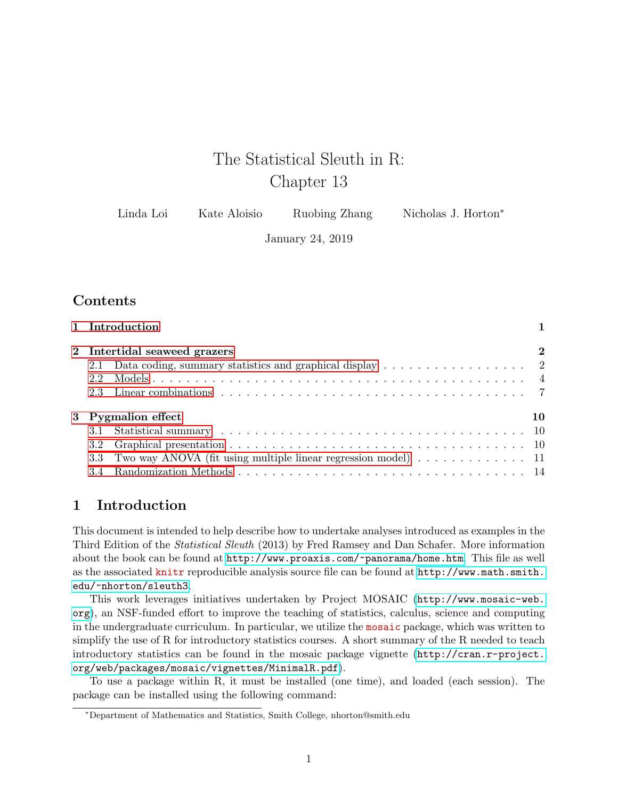# The Statistical Sleuth in R: Chapter 13

| Linda Loi | Kate Aloisio | Ruobing Zhang | Nicholas J. Horton <sup>*</sup> |
|-----------|--------------|---------------|---------------------------------|
|-----------|--------------|---------------|---------------------------------|

January 24, 2019

# **Contents**

|     | 1 Introduction                                                                              |             |
|-----|---------------------------------------------------------------------------------------------|-------------|
|     | 2 Intertidal seaweed grazers                                                                | $\mathbf 2$ |
| 2.1 | Data coding, summary statistics and graphical display $\dots \dots \dots \dots \dots \dots$ |             |
| 2.2 |                                                                                             |             |
| 2.3 |                                                                                             |             |
|     | 3 Pygmalion effect                                                                          | 10          |
|     |                                                                                             |             |
|     |                                                                                             |             |
|     | 3.3 Two way ANOVA (fit using multiple linear regression model) 11                           |             |
|     |                                                                                             |             |

# <span id="page-0-0"></span>1 Introduction

This document is intended to help describe how to undertake analyses introduced as examples in the Third Edition of the Statistical Sleuth (2013) by Fred Ramsey and Dan Schafer. More information about the book can be found at <http://www.proaxis.com/~panorama/home.htm>. This file as well as the associated knitr reproducible analysis source file can be found at [http://www.math.smith.](http://www.math.smith.edu/~nhorton/sleuth3) [edu/~nhorton/sleuth3](http://www.math.smith.edu/~nhorton/sleuth3).

This work leverages initiatives undertaken by Project MOSAIC ([http://www.mosaic-web.](http://www.mosaic-web.org) [org](http://www.mosaic-web.org)), an NSF-funded effort to improve the teaching of statistics, calculus, science and computing in the undergraduate curriculum. In particular, we utilize the mosaic package, which was written to simplify the use of R for introductory statistics courses. A short summary of the R needed to teach introductory statistics can be found in the mosaic package vignette ([http://cran.r-project.](http://cran.r-project.org/web/packages/mosaic/vignettes/MinimalR.pdf) [org/web/packages/mosaic/vignettes/MinimalR.pdf](http://cran.r-project.org/web/packages/mosaic/vignettes/MinimalR.pdf)).

To use a package within R, it must be installed (one time), and loaded (each session). The package can be installed using the following command:

<sup>∗</sup>Department of Mathematics and Statistics, Smith College, nhorton@smith.edu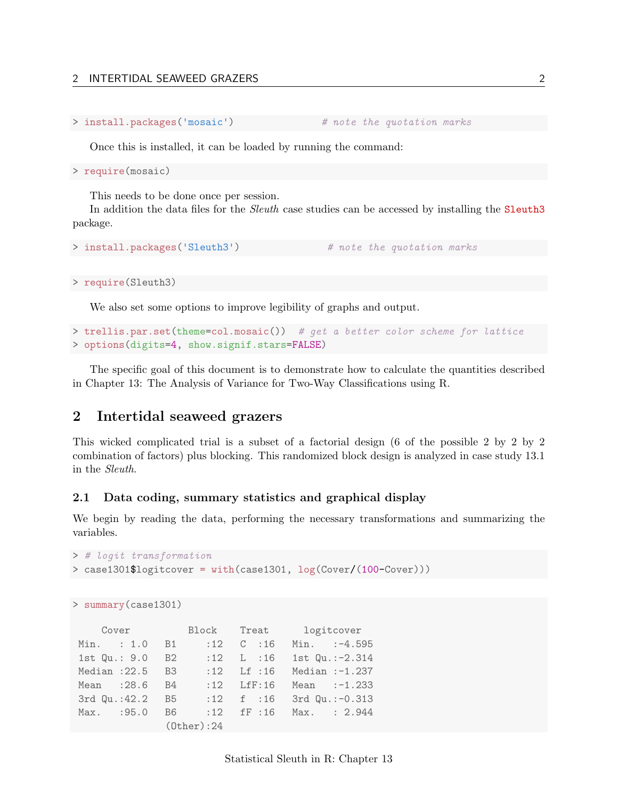```
> install.packages('mosaic') # note the quotation marks
```
Once this is installed, it can be loaded by running the command:

> require(mosaic)

This needs to be done once per session.

In addition the data files for the *Sleuth* case studies can be accessed by installing the **Sleuth3** package.

```
> install.packages('Sleuth3') # note the quotation marks
```
> require(Sleuth3)

We also set some options to improve legibility of graphs and output.

```
> trellis.par.set(theme=col.mosaic()) # get a better color scheme for lattice
> options(digits=4, show.signif.stars=FALSE)
```
The specific goal of this document is to demonstrate how to calculate the quantities described in Chapter 13: The Analysis of Variance for Two-Way Classifications using R.

## <span id="page-1-0"></span>2 Intertidal seaweed grazers

This wicked complicated trial is a subset of a factorial design (6 of the possible 2 by 2 by 2 combination of factors) plus blocking. This randomized block design is analyzed in case study 13.1 in the Sleuth.

#### <span id="page-1-1"></span>2.1 Data coding, summary statistics and graphical display

We begin by reading the data, performing the necessary transformations and summarizing the variables.

```
> # logit transformation
> case1301$logitcover = with(case1301, log(Cover/(100-Cover)))
```

```
> summary(case1301)
```

| Cover Block Treat logitcover |                   |                   |                |  |                        |  |                           |  |
|------------------------------|-------------------|-------------------|----------------|--|------------------------|--|---------------------------|--|
|                              | Min. : 1.0 B1     |                   |                |  | $:12$ C $:16$          |  | $Min.$ : $-4.595$         |  |
| 1st Qu.: 9.0                 |                   | B2                |                |  | $:12 \quad L \quad 16$ |  | 1st $Qu.:-2.314$          |  |
|                              | Median: $22.5$ B3 |                   |                |  |                        |  | :12 Lf :16 Median :-1.237 |  |
|                              | Mean : 28.6 B4    |                   |                |  | $:12$ LfF $:16$        |  | Mean $:-1.233$            |  |
|                              | 3rd Qu.:42.2 B5   |                   |                |  |                        |  | :12 f :16 3rd Qu.:-0.313  |  |
|                              | Max. : 95.0       | <b>B6</b>         | $:12$ fF $:16$ |  |                        |  | Max. : 2.944              |  |
|                              |                   | $(0$ ther $):$ 24 |                |  |                        |  |                           |  |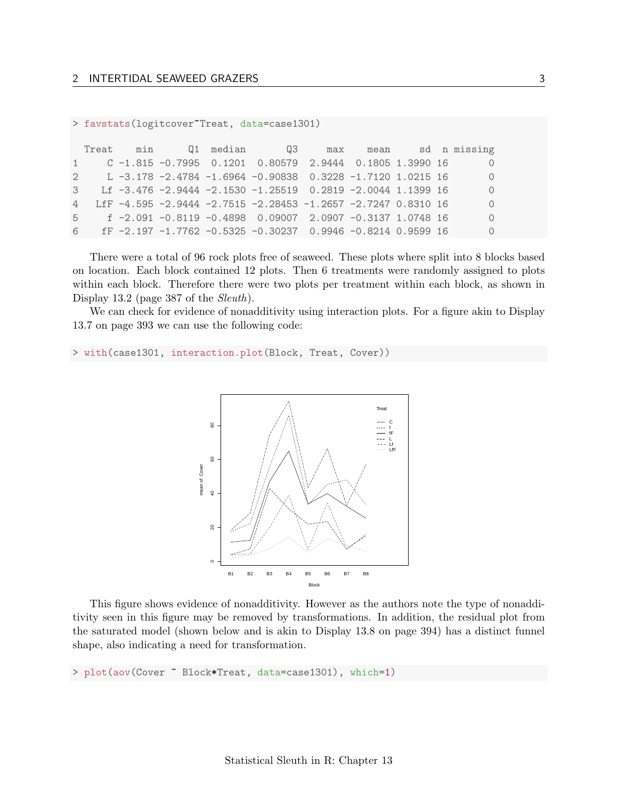#### > favstats(logitcover~Treat, data=case1301)

|  |  | Treat min Q1 median Q3 max mean sd n missing                    |  |  |                |
|--|--|-----------------------------------------------------------------|--|--|----------------|
|  |  | 1 C -1.815 -0.7995 0.1201 0.80579 2.9444 0.1805 1.3990 16       |  |  | $\overline{0}$ |
|  |  | 2 L -3.178 -2.4784 -1.6964 -0.90838 0.3228 -1.7120 1.0215 16    |  |  | $\overline{0}$ |
|  |  | 3 Lf -3.476 -2.9444 -2.1530 -1.25519 0.2819 -2.0044 1.1399 16   |  |  | $\overline{0}$ |
|  |  | 4 LfF -4.595 -2.9444 -2.7515 -2.28453 -1.2657 -2.7247 0.8310 16 |  |  | $\overline{0}$ |
|  |  | $5$ f -2.091 -0.8119 -0.4898 0.09007 2.0907 -0.3137 1.0748 16   |  |  | $\bigcirc$     |
|  |  | 6 fF -2.197 -1.7762 -0.5325 -0.30237 0.9946 -0.8214 0.9599 16   |  |  | $\circ$        |

There were a total of 96 rock plots free of seaweed. These plots where split into 8 blocks based on location. Each block contained 12 plots. Then 6 treatments were randomly assigned to plots within each block. Therefore there were two plots per treatment within each block, as shown in Display 13.2 (page 387 of the *Sleuth*).

We can check for evidence of nonadditivity using interaction plots. For a figure akin to Display 13.7 on page 393 we can use the following code:

> with(case1301, interaction.plot(Block, Treat, Cover))



This figure shows evidence of nonadditivity. However as the authors note the type of nonadditivity seen in this figure may be removed by transformations. In addition, the residual plot from the saturated model (shown below and is akin to Display 13.8 on page 394) has a distinct funnel shape, also indicating a need for transformation.

> plot(aov(Cover ~ Block\*Treat, data=case1301), which=1)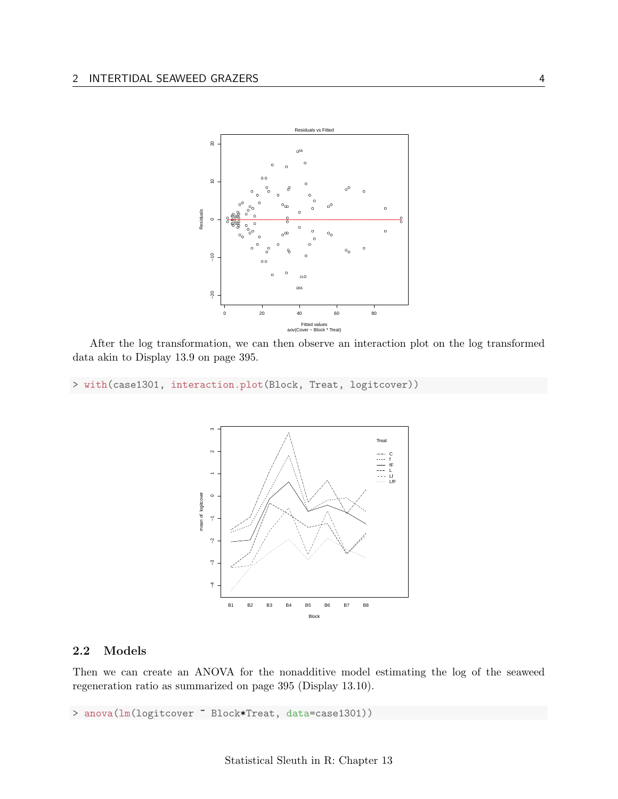

After the log transformation, we can then observe an interaction plot on the log transformed data akin to Display 13.9 on page 395.

> with(case1301, interaction.plot(Block, Treat, logitcover))



### <span id="page-3-0"></span>2.2 Models

Then we can create an ANOVA for the nonadditive model estimating the log of the seaweed regeneration ratio as summarized on page 395 (Display 13.10).

> anova(lm(logitcover ~ Block\*Treat, data=case1301))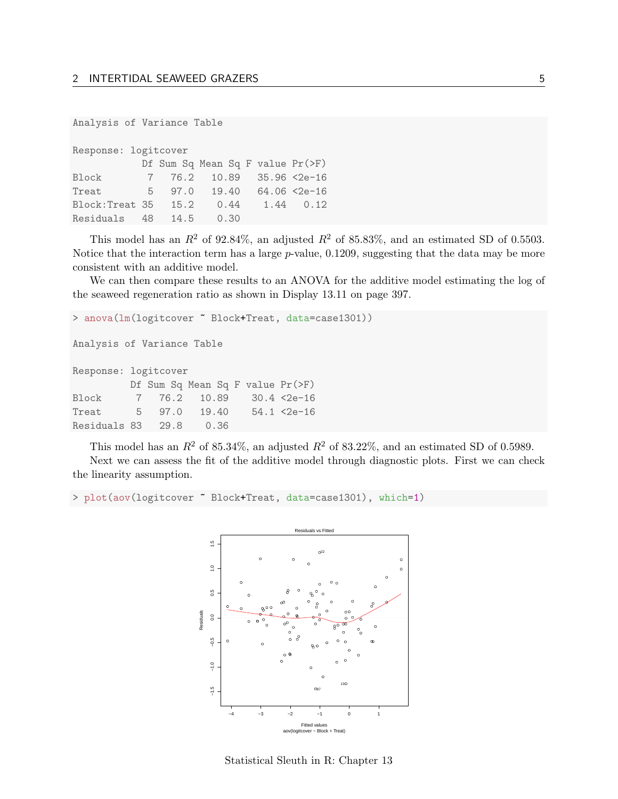```
Analysis of Variance Table
```

| Response: logitcover |      |                                  |  |                      |
|----------------------|------|----------------------------------|--|----------------------|
|                      |      | Df Sum Sq Mean Sq F value Pr(>F) |  |                      |
| Block                |      | 7 76.2 10.89 35.96 <2e-16        |  |                      |
| Treat                |      | 5 97.0 19.40                     |  | $64.06$ $\leq 2e-16$ |
| Block:Treat 35       | 15.2 | 0.44                             |  | 1.44 0.12            |
| Residuals 48         | 14.5 | 0.30                             |  |                      |

This model has an  $R^2$  of 92.84%, an adjusted  $R^2$  of 85.83%, and an estimated SD of 0.5503. Notice that the interaction term has a large p-value, 0.1209, suggesting that the data may be more consistent with an additive model.

We can then compare these results to an ANOVA for the additive model estimating the log of the seaweed regeneration ratio as shown in Display 13.11 on page 397.

```
> anova(lm(logitcover ~ Block+Treat, data=case1301))
Analysis of Variance Table
Response: logitcover
        Df Sum Sq Mean Sq F value Pr(>F)
Block 7 76.2 10.89 30.4 <2e-16
Treat 5 97.0 19.40 54.1 <2e-16
Residuals 83 29.8 0.36
```
This model has an  $R^2$  of 85.34%, an adjusted  $R^2$  of 83.22%, and an estimated SD of 0.5989.

Next we can assess the fit of the additive model through diagnostic plots. First we can check the linearity assumption.

> plot(aov(logitcover ~ Block+Treat, data=case1301), which=1)



Statistical Sleuth in R: Chapter 13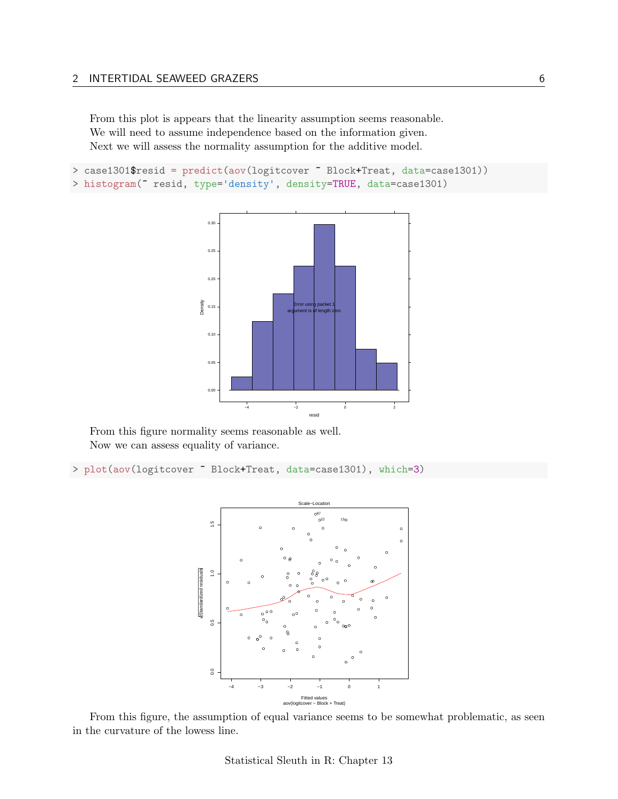From this plot is appears that the linearity assumption seems reasonable. We will need to assume independence based on the information given. Next we will assess the normality assumption for the additive model.

```
> case1301$resid = predict(aov(logitcover ~ Block+Treat, data=case1301))
> histogram(~ resid, type='density', density=TRUE, data=case1301)
```


From this figure normality seems reasonable as well. Now we can assess equality of variance.

> plot(aov(logitcover ~ Block+Treat, data=case1301), which=3)



From this figure, the assumption of equal variance seems to be somewhat problematic, as seen in the curvature of the lowess line.

Statistical Sleuth in R: Chapter 13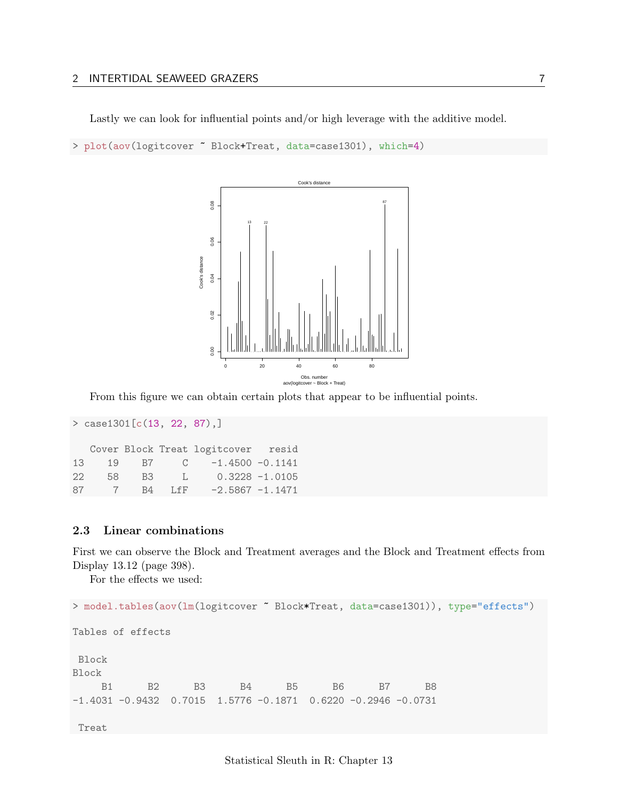#### 2 INTERTIDAL SEAWEED GRAZERS 7

Lastly we can look for influential points and/or high leverage with the additive model.

> plot(aov(logitcover ~ Block+Treat, data=case1301), which=4)



From this figure we can obtain certain plots that appear to be influential points.

```
> case1301[c(13, 22, 87),]
  Cover Block Treat logitcover resid
13 19 B7 C -1.4500 -0.1141
22 58 B3 L 0.3228 -1.0105
87 7 B4 LfF -2.5867 -1.1471
```
#### <span id="page-6-0"></span>2.3 Linear combinations

First we can observe the Block and Treatment averages and the Block and Treatment effects from Display 13.12 (page 398).

For the effects we used:

```
> model.tables(aov(lm(logitcover ~ Block*Treat, data=case1301)), type="effects")
Tables of effects
Block
Block
    B1 B2 B3 B4 B5 B6 B7 B8
-1.4031 -0.9432 0.7015 1.5776 -0.1871 0.6220 -0.2946 -0.0731
Treat
```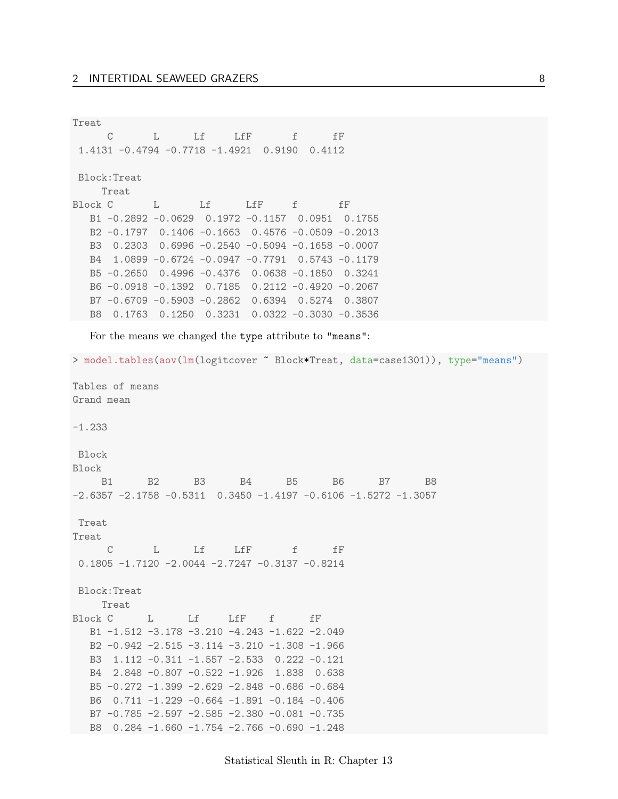Treat C L Lf LfF f fF 1.4131 -0.4794 -0.7718 -1.4921 0.9190 0.4112 Block:Treat Treat Block C L Lf LfF f fF B1 -0.2892 -0.0629 0.1972 -0.1157 0.0951 0.1755 B2 -0.1797 0.1406 -0.1663 0.4576 -0.0509 -0.2013 B3 0.2303 0.6996 -0.2540 -0.5094 -0.1658 -0.0007 B4 1.0899 -0.6724 -0.0947 -0.7791 0.5743 -0.1179 B5 -0.2650 0.4996 -0.4376 0.0638 -0.1850 0.3241 B6 -0.0918 -0.1392 0.7185 0.2112 -0.4920 -0.2067 B7 -0.6709 -0.5903 -0.2862 0.6394 0.5274 0.3807 B8 0.1763 0.1250 0.3231 0.0322 -0.3030 -0.3536

For the means we changed the type attribute to "means":

```
> model.tables(aov(lm(logitcover ~ Block*Treat, data=case1301)), type="means")
Tables of means
Grand mean
-1.233
Block
Block
   B1 B2 B3 B4 B5 B6 B7 B8
-2.6357 -2.1758 -0.5311 0.3450 -1.4197 -0.6106 -1.5272 -1.3057
Treat
Treat
     C L Lf LfF f fF
0.1805 -1.7120 -2.0044 -2.7247 -0.3137 -0.8214
Block:Treat
   Treat
Block C L Lf LfF f fF
  B1 -1.512 -3.178 -3.210 -4.243 -1.622 -2.049
  B2 -0.942 -2.515 -3.114 -3.210 -1.308 -1.966
  B3 1.112 -0.311 -1.557 -2.533 0.222 -0.121
  B4 2.848 -0.807 -0.522 -1.926 1.838 0.638
  B5 -0.272 -1.399 -2.629 -2.848 -0.686 -0.684
  B6 0.711 -1.229 -0.664 -1.891 -0.184 -0.406
  B7 -0.785 -2.597 -2.585 -2.380 -0.081 -0.735
 B8 0.284 -1.660 -1.754 -2.766 -0.690 -1.248
```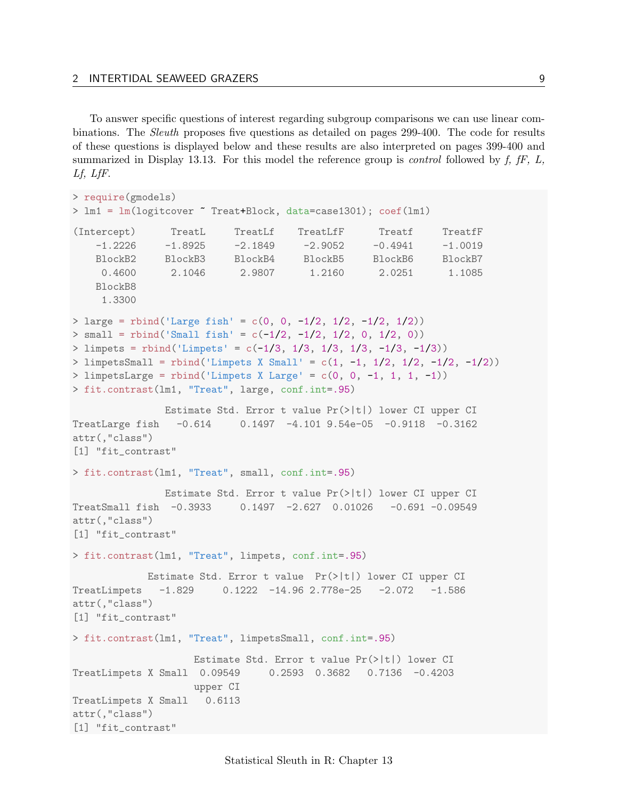To answer specific questions of interest regarding subgroup comparisons we can use linear combinations. The Sleuth proposes five questions as detailed on pages 299-400. The code for results of these questions is displayed below and these results are also interpreted on pages 399-400 and summarized in Display 13.13. For this model the reference group is *control* followed by  $f$ ,  $fF$ ,  $L$ , Lf, LfF.

```
> require(gmodels)
> lm1 = lm(logitcover ~ Treat+Block, data=case1301); coef(lm1)
(Intercept) TreatL TreatLf TreatLfF Treatf TreatfF
    -1.2226 -1.8925 -2.1849 -2.9052 -0.4941 -1.0019
   BlockB2 BlockB3 BlockB4 BlockB5 BlockB6 BlockB7
     0.4600 2.1046 2.9807 1.2160 2.0251 1.1085
   BlockB8
    1.3300
> large = rbind('Large fish' = c(0, 0, -1/2, 1/2, -1/2, 1/2))
> small = rbind('Small fish' = c(-1/2, -1/2, 1/2, 0, 1/2, 0))
> limpets = rbind('Limpets' = c(-1/3, 1/3, 1/3, 1/3, -1/3, -1/3))
> limpetsSmall = rbind('Limpets X Small' = c(1, -1, 1/2, 1/2, -1/2, -1/2))
> limpetsLarge = rbind('Limpets X Large' = c(0, 0, -1, 1, 1, -1))
> fit.contrast(lm1, "Treat", large, conf.int=.95)
               Estimate Std. Error t value Pr(>|t|) lower CI upper CI
TreatLarge fish -0.614 0.1497 -4.101 9.54e-05 -0.9118 -0.3162
attr(,"class")
[1] "fit_contrast"
> fit.contrast(lm1, "Treat", small, conf.int=.95)
               Estimate Std. Error t value Pr(>|t|) lower CI upper CI
TreatSmall fish -0.3933 0.1497 -2.627 0.01026 -0.691 -0.09549
attr(,"class")
[1] "fit_contrast"
> fit.contrast(lm1, "Treat", limpets, conf.int=.95)
            Estimate Std. Error t value Pr(>|t|) lower CI upper CI
TreatLimpets -1.829 0.1222 -14.96 2.778e-25 -2.072 -1.586
attr(,"class")
[1] "fit_contrast"
> fit.contrast(lm1, "Treat", limpetsSmall, conf.int=.95)
                   Estimate Std. Error t value Pr(>|t|) lower CI
TreatLimpets X Small 0.09549 0.2593 0.3682 0.7136 -0.4203
                   upper CI
TreatLimpets X Small 0.6113
attr(,"class")
[1] "fit_contrast"
```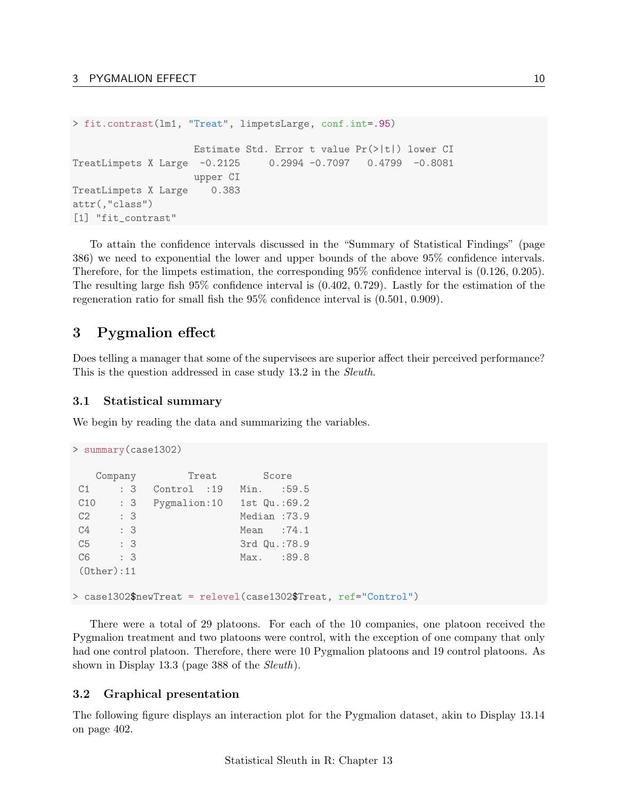```
> fit.contrast(lm1, "Treat", limpetsLarge, conf.int=.95)
                    Estimate Std. Error t value Pr(>|t|) lower CI
TreatLimpets X Large -0.2125 0.2994 -0.7097 0.4799 -0.8081
                    upper CI
TreatLimpets X Large 0.383
attr(,"class")
[1] "fit_contrast"
```
To attain the confidence intervals discussed in the "Summary of Statistical Findings" (page 386) we need to exponential the lower and upper bounds of the above 95% confidence intervals. Therefore, for the limpets estimation, the corresponding 95% confidence interval is (0.126, 0.205). The resulting large fish 95% confidence interval is (0.402, 0.729). Lastly for the estimation of the regeneration ratio for small fish the 95% confidence interval is (0.501, 0.909).

# <span id="page-9-0"></span>3 Pygmalion effect

Does telling a manager that some of the supervisees are superior affect their perceived performance? This is the question addressed in case study 13.2 in the Sleuth.

### <span id="page-9-1"></span>3.1 Statistical summary

We begin by reading the data and summarizing the variables.

```
> summary(case1302)
  Company Treat Score
C1 : 3 Control :19 Min. :59.5
C10 : 3 Pygmalion:10 1st Qu.:69.2
C2 : 3 Median : 73.9
C4 : 3 Mean : 74.1
C5 : 3 3rd Qu.:78.9
C6 : 3 Max. : 89.8
(Other):11
> case1302$newTreat = relevel(case1302$Treat, ref="Control")
```
There were a total of 29 platoons. For each of the 10 companies, one platoon received the Pygmalion treatment and two platoons were control, with the exception of one company that only had one control platoon. Therefore, there were 10 Pygmalion platoons and 19 control platoons. As shown in Display 13.3 (page 388 of the *Sleuth*).

## <span id="page-9-2"></span>3.2 Graphical presentation

The following figure displays an interaction plot for the Pygmalion dataset, akin to Display 13.14 on page 402.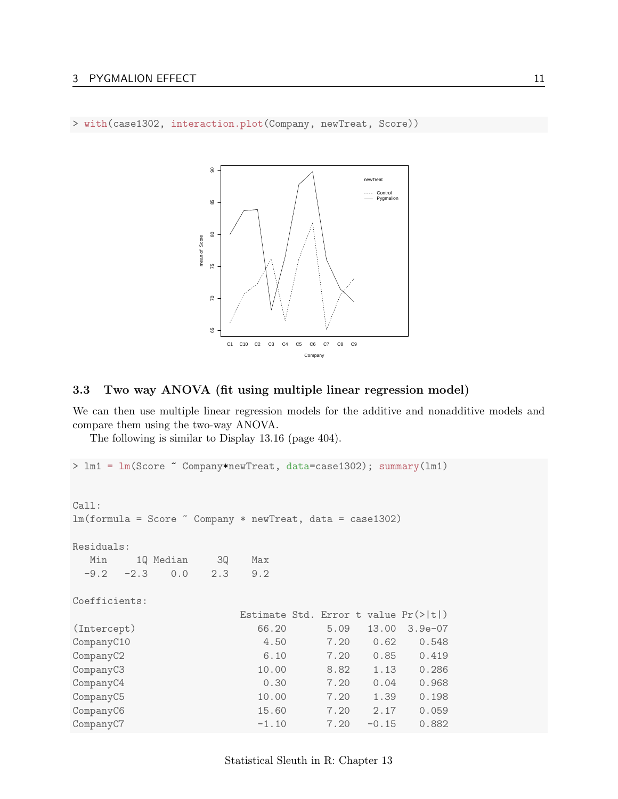> with(case1302, interaction.plot(Company, newTreat, Score))



#### <span id="page-10-0"></span>3.3 Two way ANOVA (fit using multiple linear regression model)

We can then use multiple linear regression models for the additive and nonadditive models and compare them using the two-way ANOVA.

The following is similar to Display 13.16 (page 404).

```
> lm1 = lm(Score ~ Company*newTreat, data=case1302); summary(lm1)
Call:
lm(formula = Score \sim Company * newTreat, data = case1302)Residuals:
 Min 1Q Median 3Q Max
 -9.2 -2.3 0.0 2.3 9.2
Coefficients:
                  Estimate Std. Error t value Pr(>|t|)
(Intercept) 66.20 5.09 13.00 3.9e-07
CompanyC10 4.50 7.20 0.62 0.548
CompanyC2 6.10 7.20 0.85 0.419
CompanyC3 10.00 8.82 1.13 0.286
CompanyC4 0.30 7.20 0.04 0.968
CompanyC5 10.00 7.20 1.39 0.198
CompanyC6 15.60 7.20 2.17 0.059
CompanyC7 -1.10 7.20 -0.15 0.882
```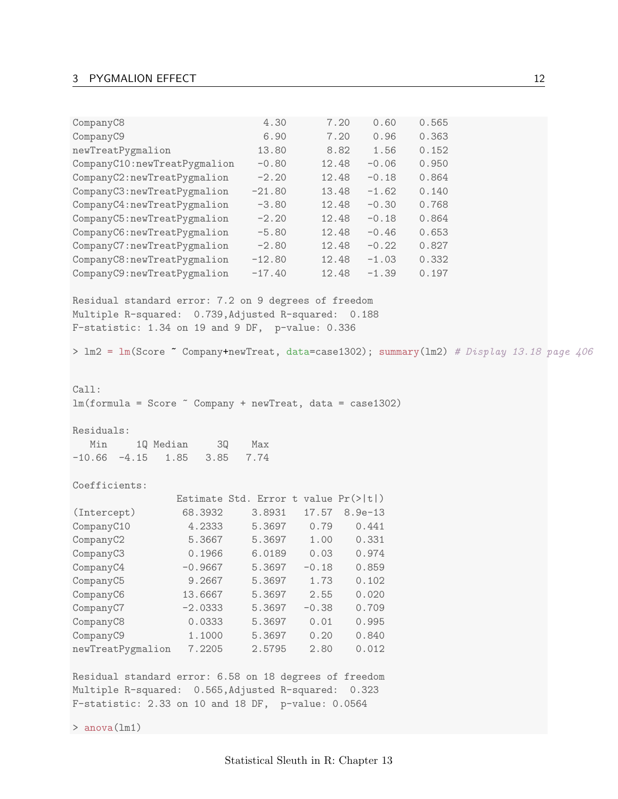# 3 PYGMALION EFFECT 12

| CompanyC8                                                                                  |                                                  | 4.30     | 7.20          | 0.60    | 0.565 |  |
|--------------------------------------------------------------------------------------------|--------------------------------------------------|----------|---------------|---------|-------|--|
| CompanyC9                                                                                  |                                                  | 6.90     | 7.20          | 0.96    | 0.363 |  |
| newTreatPygmalion                                                                          |                                                  | 13.80    | 8.82          | 1.56    | 0.152 |  |
| CompanyC10:newTreatPygmalion                                                               |                                                  | $-0.80$  | 12.48         | $-0.06$ | 0.950 |  |
| CompanyC2:newTreatPygmalion                                                                |                                                  | $-2.20$  | 12.48         | $-0.18$ | 0.864 |  |
| CompanyC3:newTreatPygmalion                                                                |                                                  | $-21.80$ | 13.48         | $-1.62$ | 0.140 |  |
| CompanyC4:newTreatPygmalion                                                                |                                                  | $-3.80$  | 12.48         | $-0.30$ | 0.768 |  |
| CompanyC5:newTreatPygmalion                                                                |                                                  | $-2.20$  | 12.48         | $-0.18$ | 0.864 |  |
| CompanyC6:newTreatPygmalion                                                                |                                                  | $-5.80$  | 12.48         | $-0.46$ | 0.653 |  |
| CompanyC7:newTreatPygmalion                                                                |                                                  | $-2.80$  | 12.48         | $-0.22$ | 0.827 |  |
| CompanyC8:newTreatPygmalion                                                                |                                                  | $-12.80$ | 12.48         | $-1.03$ | 0.332 |  |
| CompanyC9:newTreatPygmalion                                                                |                                                  | $-17.40$ | 12.48         | $-1.39$ | 0.197 |  |
| Residual standard error: 7.2 on 9 degrees of freedom                                       |                                                  |          |               |         |       |  |
| Multiple R-squared: 0.739, Adjusted R-squared: 0.188                                       |                                                  |          |               |         |       |  |
| F-statistic: 1.34 on 19 and 9 DF, p-value: 0.336                                           |                                                  |          |               |         |       |  |
| > lm2 = lm(Score " Company+newTreat, data=case1302); summary(lm2) # Display 13.18 page 406 |                                                  |          |               |         |       |  |
| Call:                                                                                      |                                                  |          |               |         |       |  |
| $lm(formula = Score \text{ Company} + newTreat, data = case1302)$                          |                                                  |          |               |         |       |  |
|                                                                                            |                                                  |          |               |         |       |  |
| Residuals:                                                                                 |                                                  |          |               |         |       |  |
| Min                                                                                        | 1Q Median<br>3Q                                  | Max      |               |         |       |  |
| $-10.66 - 4.15$                                                                            | 1.85<br>3.85                                     | 7.74     |               |         |       |  |
|                                                                                            |                                                  |          |               |         |       |  |
| Coefficients:                                                                              |                                                  |          |               |         |       |  |
|                                                                                            | Estimate Std. Error t value $Pr(>\vert t \vert)$ |          |               |         |       |  |
| (Intercept)                                                                                | 68.3932                                          | 3.8931   | 17.57 8.9e-13 |         |       |  |
| CompanyC10                                                                                 | 4.2333                                           | 5.3697   | 0.79          | 0.441   |       |  |
| CompanyC2                                                                                  | 5.3667                                           | 5.3697   | 1.00  0.331   |         |       |  |
| CompanyC3                                                                                  | 0.1966                                           | 6.0189   | 0.03          | 0.974   |       |  |
| CompanyC4                                                                                  | $-0.9667$                                        | 5.3697   | $-0.18$       | 0.859   |       |  |
| CompanyC5                                                                                  | 9.2667                                           | 5.3697   | 1.73          | 0.102   |       |  |
| CompanyC6                                                                                  | 13.6667                                          | 5.3697   | 2.55          | 0.020   |       |  |
| CompanyC7                                                                                  | $-2.0333$                                        | 5.3697   | $-0.38$       | 0.709   |       |  |
| CompanyC8                                                                                  | 0.0333                                           | 5.3697   | 0.01          | 0.995   |       |  |
| CompanyC9                                                                                  | 1.1000                                           | 5.3697   | 0.20          | 0.840   |       |  |
| newTreatPygmalion                                                                          | 7.2205                                           | 2.5795   | 2.80          | 0.012   |       |  |
| Residual standard error: 6.58 on 18 degrees of freedom                                     |                                                  |          |               |         |       |  |
| Multiple R-squared: 0.565, Adjusted R-squared:                                             |                                                  |          |               | 0.323   |       |  |
| F-statistic: 2.33 on 10 and 18 DF, p-value: 0.0564                                         |                                                  |          |               |         |       |  |
| $>$ anova $(\text{lm1})$                                                                   |                                                  |          |               |         |       |  |
|                                                                                            |                                                  |          |               |         |       |  |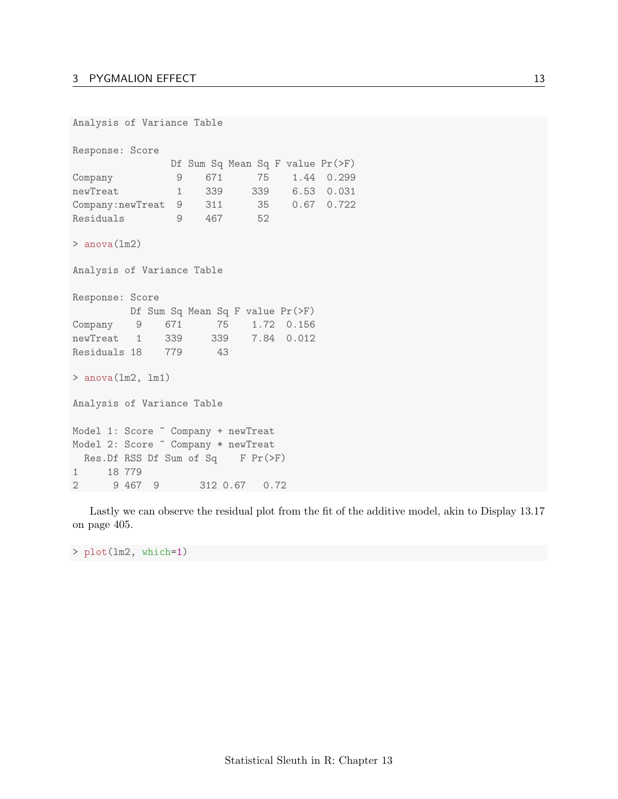```
Analysis of Variance Table
Response: Score
             Df Sum Sq Mean Sq F value Pr(>F)
Company 9 671 75 1.44 0.299
newTreat 1 339 339 6.53 0.031
Company:newTreat 9 311 35 0.67 0.722
Residuals 9 467 52
> anova(lm2)
Analysis of Variance Table
Response: Score
        Df Sum Sq Mean Sq F value Pr(>F)
Company 9 671 75 1.72 0.156
newTreat 1 339 339 7.84 0.012
Residuals 18 779 43
> anova(lm2, lm1)
Analysis of Variance Table
Model 1: Score ~ Company + newTreat
Model 2: Score ~ Company * newTreat
 Res.Df RSS Df Sum of Sq F Pr(>F)
1 18 779
2 9 467 9 312 0.67 0.72
```
Lastly we can observe the residual plot from the fit of the additive model, akin to Display 13.17 on page 405.

> plot(lm2, which=1)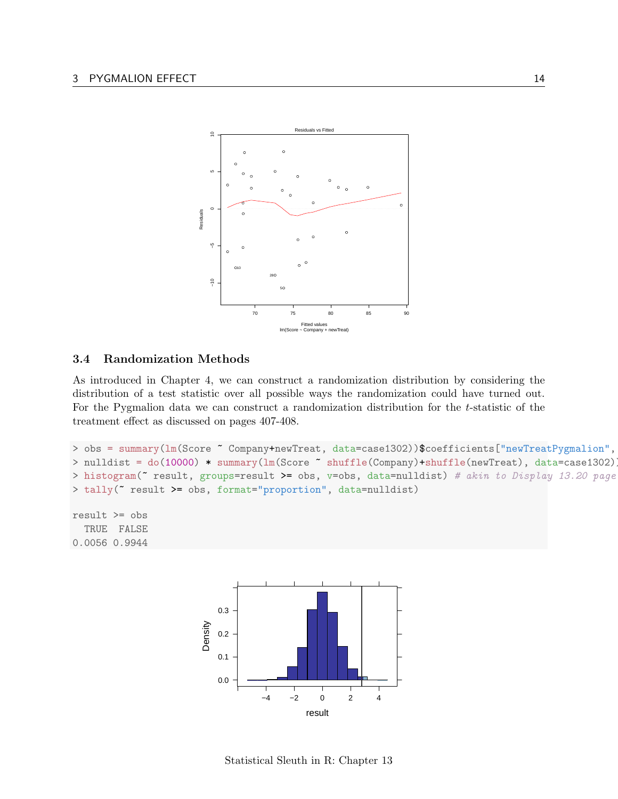

### <span id="page-13-0"></span>3.4 Randomization Methods

As introduced in Chapter 4, we can construct a randomization distribution by considering the distribution of a test statistic over all possible ways the randomization could have turned out. For the Pygmalion data we can construct a randomization distribution for the t-statistic of the treatment effect as discussed on pages 407-408.

```
> obs = summary(lm(Score ~ Company+newTreat, data=case1302))$coefficients["newTreatPygmalion",
> nulldist = do(10000) * summary(lm(Score ~ shuffle(Company)+shuffle(newTreat), data=case1302)
> histogram(\tilde{c} result, groups=result >= obs, v=obs, data=nulldist) # akin to Display 13.20 page
> tally(~ result >= obs, format="proportion", data=nulldist)
```

```
result >= obs
  TRUE FALSE
0.0056 0.9944
```